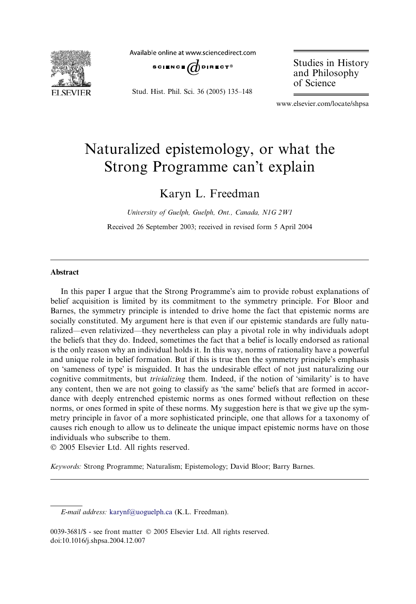

Available online at www.sciencedirect.com



Stud. Hist. Phil. Sci. 36 (2005) 135–148

Studies in History and Philosophy of Science

www.elsevier.com/locate/shpsa

# Naturalized epistemology, or what the Strong Programme can't explain

Karyn L. Freedman

University of Guelph, Guelph, Ont., Canada, N1G 2W1

Received 26 September 2003; received in revised form 5 April 2004

#### Abstract

In this paper I argue that the Strong Programme's aim to provide robust explanations of belief acquisition is limited by its commitment to the symmetry principle. For Bloor and Barnes, the symmetry principle is intended to drive home the fact that epistemic norms are socially constituted. My argument here is that even if our epistemic standards are fully naturalized—even relativized—they nevertheless can play a pivotal role in why individuals adopt the beliefs that they do. Indeed, sometimes the fact that a belief is locally endorsed as rational is the only reason why an individual holds it. In this way, norms of rationality have a powerful and unique role in belief formation. But if this is true then the symmetry principle's emphasis on 'sameness of type' is misguided. It has the undesirable effect of not just naturalizing our cognitive commitments, but *trivializing* them. Indeed, if the notion of 'similarity' is to have any content, then we are not going to classify as 'the same' beliefs that are formed in accordance with deeply entrenched epistemic norms as ones formed without reflection on these norms, or ones formed in spite of these norms. My suggestion here is that we give up the symmetry principle in favor of a more sophisticated principle, one that allows for a taxonomy of causes rich enough to allow us to delineate the unique impact epistemic norms have on those individuals who subscribe to them.

2005 Elsevier Ltd. All rights reserved.

Keywords: Strong Programme; Naturalism; Epistemology; David Bloor; Barry Barnes.

E-mail address: [karynf@uoguelph.ca](mailto:karynf@uoguelph.ca ) (K.L. Freedman).

<sup>0039-3681/\$ -</sup> see front matter © 2005 Elsevier Ltd. All rights reserved. doi:10.1016/j.shpsa.2004.12.007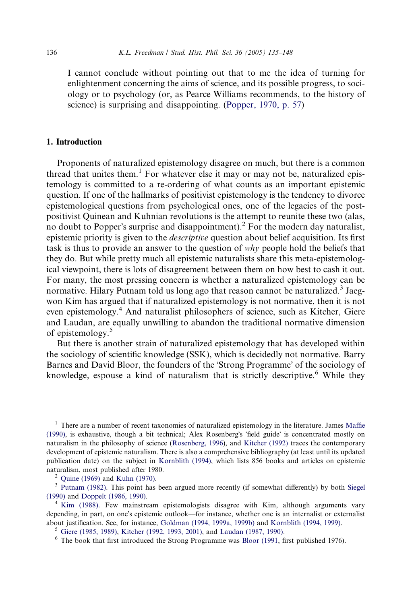I cannot conclude without pointing out that to me the idea of turning for enlightenment concerning the aims of science, and its possible progress, to sociology or to psychology (or, as Pearce Williams recommends, to the history of science) is surprising and disappointing. ([Popper, 1970, p. 57](#page-13-0))

## 1. Introduction

Proponents of naturalized epistemology disagree on much, but there is a common thread that unites them.<sup>1</sup> For whatever else it may or may not be, naturalized epistemology is committed to a re-ordering of what counts as an important epistemic question. If one of the hallmarks of positivist epistemology is the tendency to divorce epistemological questions from psychological ones, one of the legacies of the postpositivist Quinean and Kuhnian revolutions is the attempt to reunite these two (alas, no doubt to Popper's surprise and disappointment).<sup>2</sup> For the modern day naturalist, epistemic priority is given to the descriptive question about belief acquisition. Its first task is thus to provide an answer to the question of why people hold the beliefs that they do. But while pretty much all epistemic naturalists share this meta-epistemological viewpoint, there is lots of disagreement between them on how best to cash it out. For many, the most pressing concern is whether a naturalized epistemology can be normative. Hilary Putnam told us long ago that reason cannot be naturalized.<sup>3</sup> Jaegwon Kim has argued that if naturalized epistemology is not normative, then it is not even epistemology.<sup>4</sup> And naturalist philosophers of science, such as Kitcher, Giere and Laudan, are equally unwilling to abandon the traditional normative dimension of epistemology.<sup>5</sup>

But there is another strain of naturalized epistemology that has developed within the sociology of scientific knowledge (SSK), which is decidedly not normative. Barry Barnes and David Bloor, the founders of the 'Strong Programme' of the sociology of knowledge, espouse a kind of naturalism that is strictly descriptive.<sup>6</sup> While they

<sup>&</sup>lt;sup>1</sup> There are a number of recent taxonomies of naturalized epistemology in the literature. James [Maffie](#page-13-0) [\(1990\)](#page-13-0), is exhaustive, though a bit technical; Alex Rosenberg's 'field guide' is concentrated mostly on naturalism in the philosophy of science (Rosenberg, 1996), and [Kitcher \(1992\)](#page-12-0) traces the contemporary development of epistemic naturalism. There is also a comprehensive bibliography (at least until its updated publication date) on the subject in [Kornblith \(1994\),](#page-13-0) which lists 856 books and articles on epistemic naturalism, most published after 1980.<br><sup>2</sup> Quine (1969) and [Kuhn \(1970\)](#page-13-0).<br><sup>3</sup> Putnam (1982). This point has been argued more recently (if somewhat differently) by both Siegel

<sup>(1990)</sup> and [Doppelt \(1986, 1990\)](#page-12-0).<br> $4 \text{ Kim}$  (1988). Few mainstream epistemologists disagree with Kim, although arguments vary

depending, in part, on one's epistemic outlook—for instance, whether one is an internalist or externalist about justification. See, for instance, [Goldman \(1994, 1999a, 1999b\)](#page-12-0) and [Kornblith \(1994, 1999\)](#page-13-0).<br>
<sup>5</sup> [Giere \(1985, 1989\),](#page-12-0) [Kitcher \(1992, 1993, 2001\)](#page-12-0), and [Laudan \(1987, 1990\).](#page-13-0)<br>
<sup>6</sup> The book that first introduced the Strong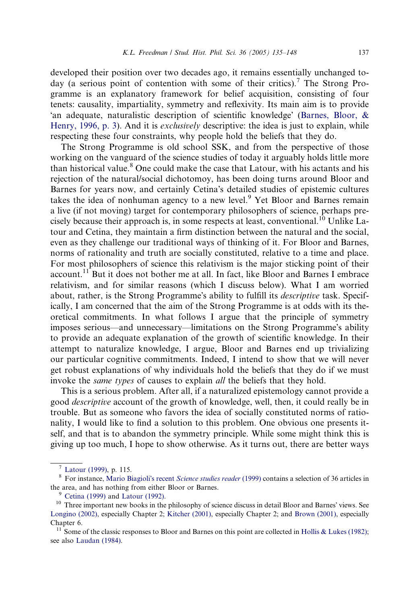developed their position over two decades ago, it remains essentially unchanged today (a serious point of contention with some of their critics).<sup>7</sup> The Strong Programme is an explanatory framework for belief acquisition, consisting of four tenets: causality, impartiality, symmetry and reflexivity. Its main aim is to provide 'an adequate, naturalistic description of scientific knowledge' [\(Barnes, Bloor, &](#page-12-0) [Henry, 1996, p. 3](#page-12-0)). And it is *exclusively* descriptive: the idea is just to explain, while respecting these four constraints, why people hold the beliefs that they do.

The Strong Programme is old school SSK, and from the perspective of those working on the vanguard of the science studies of today it arguably holds little more than historical value.<sup>8</sup> One could make the case that Latour, with his actants and his rejection of the natural/social dichotomoy, has been doing turns around Bloor and Barnes for years now, and certainly Cetina's detailed studies of epistemic cultures takes the idea of nonhuman agency to a new level.<sup>9</sup> Yet Bloor and Barnes remain a live (if not moving) target for contemporary philosophers of science, perhaps precisely because their approach is, in some respects at least, conventional.<sup>10</sup> Unlike Latour and Cetina, they maintain a firm distinction between the natural and the social, even as they challenge our traditional ways of thinking of it. For Bloor and Barnes, norms of rationality and truth are socially constituted, relative to a time and place. For most philosophers of science this relativism is the major sticking point of their account.<sup>11</sup> But it does not bother me at all. In fact, like Bloor and Barnes I embrace relativism, and for similar reasons (which I discuss below). What I am worried about, rather, is the Strong Programme's ability to fulfill its *descriptive* task. Specifically, I am concerned that the aim of the Strong Programme is at odds with its theoretical commitments. In what follows I argue that the principle of symmetry imposes serious—and unnecessary—limitations on the Strong Programmes ability to provide an adequate explanation of the growth of scientific knowledge. In their attempt to naturalize knowledge, I argue, Bloor and Barnes end up trivializing our particular cognitive commitments. Indeed, I intend to show that we will never get robust explanations of why individuals hold the beliefs that they do if we must invoke the same types of causes to explain all the beliefs that they hold.

This is a serious problem. After all, if a naturalized epistemology cannot provide a good descriptive account of the growth of knowledge, well, then, it could really be in trouble. But as someone who favors the idea of socially constituted norms of rationality, I would like to find a solution to this problem. One obvious one presents itself, and that is to abandon the symmetry principle. While some might think this is giving up too much, I hope to show otherwise. As it turns out, there are better ways

<sup>&</sup>lt;sup>7</sup> [Latour \(1999\)](#page-13-0), p. 115.<br><sup>8</sup> For instance, Mario Biagioli's recent *[Science studies reader](#page-12-0)* (1999) contains a selection of 36 articles in the area, and has nothing from either Bloor or Barnes.<br><sup>9</sup> [Cetina \(1999\)](#page-12-0) and [Latour \(1992\).](#page-13-0)<br><sup>10</sup> Three important new books in the philosophy of science discuss in detail Bloor and Barnes' views. See

[Longino \(2002\)](#page-13-0), especially Chapter 2; [Kitcher \(2001\),](#page-12-0) especially Chapter 2; and [Brown \(2001\)](#page-12-0), especially Chapter 6. <sup>11</sup> Some of the classic responses to Bloor and Barnes on this point are collected in [Hollis & Lukes \(1982\)](#page-12-0);

see also [Laudan \(1984\).](#page-13-0)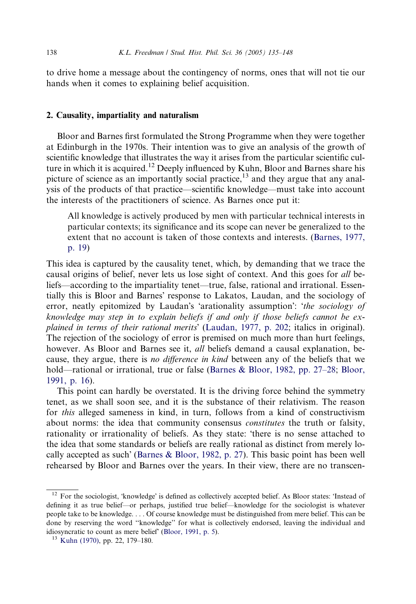to drive home a message about the contingency of norms, ones that will not tie our hands when it comes to explaining belief acquisition.

## 2. Causality, impartiality and naturalism

Bloor and Barnes first formulated the Strong Programme when they were together at Edinburgh in the 1970s. Their intention was to give an analysis of the growth of scientific knowledge that illustrates the way it arises from the particular scientific culture in which it is acquired.12 Deeply influenced by Kuhn, Bloor and Barnes share his picture of science as an importantly social practice,<sup>13</sup> and they argue that any analysis of the products of that practice—scientific knowledge—must take into account the interests of the practitioners of science. As Barnes once put it:

All knowledge is actively produced by men with particular technical interests in particular contexts; its significance and its scope can never be generalized to the extent that no account is taken of those contexts and interests. [\(Barnes, 1977,](#page-12-0) [p. 19\)](#page-12-0)

This idea is captured by the causality tenet, which, by demanding that we trace the causal origins of belief, never lets us lose sight of context. And this goes for all beliefs—according to the impartiality tenet—true, false, rational and irrational. Essentially this is Bloor and Barnes' response to Lakatos, Laudan, and the sociology of error, neatly epitomized by Laudan's 'arationality assumption': 'the sociology of knowledge may step in to explain beliefs if and only if those beliefs cannot be ex-plained in terms of their rational merits' [\(Laudan, 1977, p. 202;](#page-13-0) italics in original). The rejection of the sociology of error is premised on much more than hurt feelings, however. As Bloor and Barnes see it, *all* beliefs demand a causal explanation, because, they argue, there is no difference in kind between any of the beliefs that we hold—rational or irrational, true or false [\(Barnes & Bloor, 1982, pp. 27–28;](#page-12-0) [Bloor,](#page-12-0) [1991, p. 16\)](#page-12-0).

This point can hardly be overstated. It is the driving force behind the symmetry tenet, as we shall soon see, and it is the substance of their relativism. The reason for this alleged sameness in kind, in turn, follows from a kind of constructivism about norms: the idea that community consensus constitutes the truth or falsity, rationality or irrationality of beliefs. As they state: 'there is no sense attached to the idea that some standards or beliefs are really rational as distinct from merely lo-cally accepted as such [\(Barnes & Bloor, 1982, p. 27](#page-12-0)). This basic point has been well rehearsed by Bloor and Barnes over the years. In their view, there are no transcen-

<sup>&</sup>lt;sup>12</sup> For the sociologist, 'knowledge' is defined as collectively accepted belief. As Bloor states: 'Instead of defining it as true belief—or perhaps, justified true belief—knowledge for the sociologist is whatever people take to be knowledge. . . . Of course knowledge must be distinguished from mere belief. This can be done by reserving the word ''knowledge'' for what is collectively endorsed, leaving the individual and idiosyncratic to count as mere belief [\(Bloor, 1991, p. 5](#page-12-0)). <sup>13</sup> [Kuhn \(1970\)](#page-13-0), pp. 22, 179–180.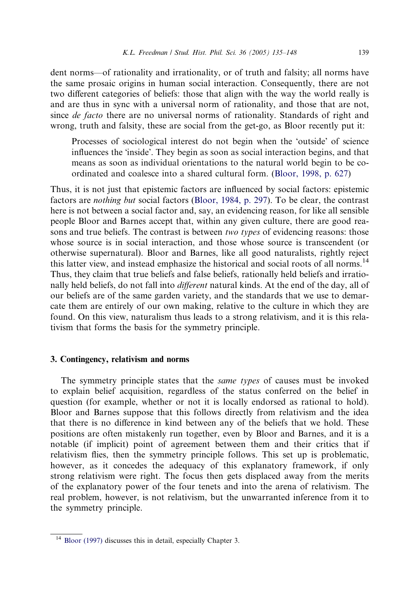dent norms—of rationality and irrationality, or of truth and falsity; all norms have the same prosaic origins in human social interaction. Consequently, there are not two different categories of beliefs: those that align with the way the world really is and are thus in sync with a universal norm of rationality, and those that are not, since *de facto* there are no universal norms of rationality. Standards of right and wrong, truth and falsity, these are social from the get-go, as Bloor recently put it:

Processes of sociological interest do not begin when the 'outside' of science influences the 'inside'. They begin as soon as social interaction begins, and that means as soon as individual orientations to the natural world begin to be coordinated and coalesce into a shared cultural form. [\(Bloor, 1998, p. 627\)](#page-12-0)

Thus, it is not just that epistemic factors are influenced by social factors: epistemic factors are nothing but social factors ([Bloor, 1984, p. 297\)](#page-12-0). To be clear, the contrast here is not between a social factor and, say, an evidencing reason, for like all sensible people Bloor and Barnes accept that, within any given culture, there are good reasons and true beliefs. The contrast is between two types of evidencing reasons: those whose source is in social interaction, and those whose source is transcendent (or otherwise supernatural). Bloor and Barnes, like all good naturalists, rightly reject this latter view, and instead emphasize the historical and social roots of all norms.<sup>14</sup> Thus, they claim that true beliefs and false beliefs, rationally held beliefs and irrationally held beliefs, do not fall into different natural kinds. At the end of the day, all of our beliefs are of the same garden variety, and the standards that we use to demarcate them are entirely of our own making, relative to the culture in which they are found. On this view, naturalism thus leads to a strong relativism, and it is this relativism that forms the basis for the symmetry principle.

#### 3. Contingency, relativism and norms

The symmetry principle states that the *same types* of causes must be invoked to explain belief acquisition, regardless of the status conferred on the belief in question (for example, whether or not it is locally endorsed as rational to hold). Bloor and Barnes suppose that this follows directly from relativism and the idea that there is no difference in kind between any of the beliefs that we hold. These positions are often mistakenly run together, even by Bloor and Barnes, and it is a notable (if implicit) point of agreement between them and their critics that if relativism flies, then the symmetry principle follows. This set up is problematic, however, as it concedes the adequacy of this explanatory framework, if only strong relativism were right. The focus then gets displaced away from the merits of the explanatory power of the four tenets and into the arena of relativism. The real problem, however, is not relativism, but the unwarranted inference from it to the symmetry principle.

<sup>&</sup>lt;sup>14</sup> [Bloor \(1997\)](#page-12-0) discusses this in detail, especially Chapter 3.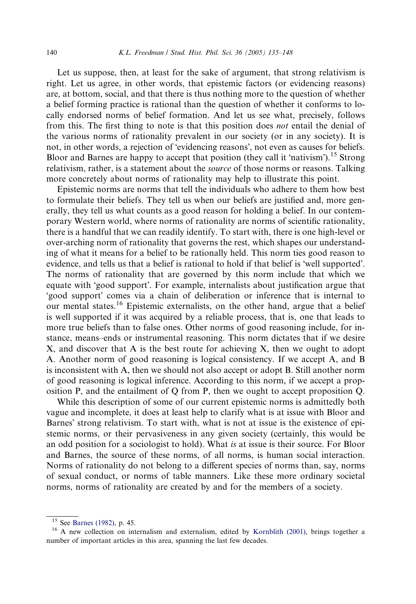Let us suppose, then, at least for the sake of argument, that strong relativism is right. Let us agree, in other words, that epistemic factors (or evidencing reasons) are, at bottom, social, and that there is thus nothing more to the question of whether a belief forming practice is rational than the question of whether it conforms to locally endorsed norms of belief formation. And let us see what, precisely, follows from this. The first thing to note is that this position does not entail the denial of the various norms of rationality prevalent in our society (or in any society). It is not, in other words, a rejection of 'evidencing reasons', not even as causes for beliefs. Bloor and Barnes are happy to accept that position (they call it 'nativism').<sup>15</sup> Strong relativism, rather, is a statement about the source of those norms or reasons. Talking more concretely about norms of rationality may help to illustrate this point.

Epistemic norms are norms that tell the individuals who adhere to them how best to formulate their beliefs. They tell us when our beliefs are justified and, more generally, they tell us what counts as a good reason for holding a belief. In our contemporary Western world, where norms of rationality are norms of scientific rationality, there is a handful that we can readily identify. To start with, there is one high-level or over-arching norm of rationality that governs the rest, which shapes our understanding of what it means for a belief to be rationally held. This norm ties good reason to evidence, and tells us that a belief is rational to hold if that belief is 'well supported'. The norms of rationality that are governed by this norm include that which we equate with 'good support'. For example, internalists about justification argue that -good support comes via a chain of deliberation or inference that is internal to our mental states.<sup>16</sup> Epistemic externalists, on the other hand, argue that a belief is well supported if it was acquired by a reliable process, that is, one that leads to more true beliefs than to false ones. Other norms of good reasoning include, for instance, means–ends or instrumental reasoning. This norm dictates that if we desire X, and discover that A is the best route for achieving X, then we ought to adopt A. Another norm of good reasoning is logical consistency. If we accept A, and B is inconsistent with A, then we should not also accept or adopt B. Still another norm of good reasoning is logical inference. According to this norm, if we accept a proposition P, and the entailment of Q from P, then we ought to accept proposition Q.

While this description of some of our current epistemic norms is admittedly both vague and incomplete, it does at least help to clarify what is at issue with Bloor and Barnes' strong relativism. To start with, what is not at issue is the existence of epistemic norms, or their pervasiveness in any given society (certainly, this would be an odd position for a sociologist to hold). What is at issue is their source. For Bloor and Barnes, the source of these norms, of all norms, is human social interaction. Norms of rationality do not belong to a different species of norms than, say, norms of sexual conduct, or norms of table manners. Like these more ordinary societal norms, norms of rationality are created by and for the members of a society.

<sup>&</sup>lt;sup>15</sup> See [Barnes \(1982\),](#page-12-0) p. 45.<br><sup>16</sup> A new collection on internalism and externalism, edited by [Kornblith \(2001\)](#page-13-0), brings together a number of important articles in this area, spanning the last few decades.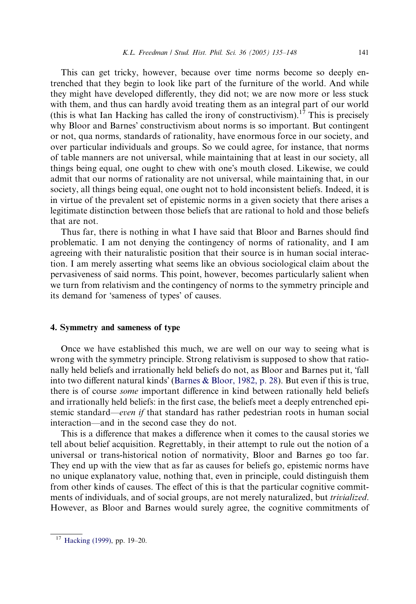This can get tricky, however, because over time norms become so deeply entrenched that they begin to look like part of the furniture of the world. And while they might have developed differently, they did not; we are now more or less stuck with them, and thus can hardly avoid treating them as an integral part of our world (this is what Ian Hacking has called the irony of constructivism).<sup>17</sup> This is precisely why Bloor and Barnes' constructivism about norms is so important. But contingent or not, qua norms, standards of rationality, have enormous force in our society, and over particular individuals and groups. So we could agree, for instance, that norms of table manners are not universal, while maintaining that at least in our society, all things being equal, one ought to chew with ones mouth closed. Likewise, we could admit that our norms of rationality are not universal, while maintaining that, in our society, all things being equal, one ought not to hold inconsistent beliefs. Indeed, it is in virtue of the prevalent set of epistemic norms in a given society that there arises a legitimate distinction between those beliefs that are rational to hold and those beliefs that are not.

Thus far, there is nothing in what I have said that Bloor and Barnes should find problematic. I am not denying the contingency of norms of rationality, and I am agreeing with their naturalistic position that their source is in human social interaction. I am merely asserting what seems like an obvious sociological claim about the pervasiveness of said norms. This point, however, becomes particularly salient when we turn from relativism and the contingency of norms to the symmetry principle and its demand for 'sameness of types' of causes.

#### 4. Symmetry and sameness of type

Once we have established this much, we are well on our way to seeing what is wrong with the symmetry principle. Strong relativism is supposed to show that rationally held beliefs and irrationally held beliefs do not, as Bloor and Barnes put it, 'fall into two different natural kinds [\(Barnes & Bloor, 1982, p. 28\)](#page-12-0). But even if this is true, there is of course some important difference in kind between rationally held beliefs and irrationally held beliefs: in the first case, the beliefs meet a deeply entrenched epistemic standard—even if that standard has rather pedestrian roots in human social interaction—and in the second case they do not.

This is a difference that makes a difference when it comes to the causal stories we tell about belief acquisition. Regrettably, in their attempt to rule out the notion of a universal or trans-historical notion of normativity, Bloor and Barnes go too far. They end up with the view that as far as causes for beliefs go, epistemic norms have no unique explanatory value, nothing that, even in principle, could distinguish them from other kinds of causes. The effect of this is that the particular cognitive commitments of individuals, and of social groups, are not merely naturalized, but *trivialized*. However, as Bloor and Barnes would surely agree, the cognitive commitments of

<sup>17</sup> [Hacking \(1999\)](#page-12-0), pp. 19–20.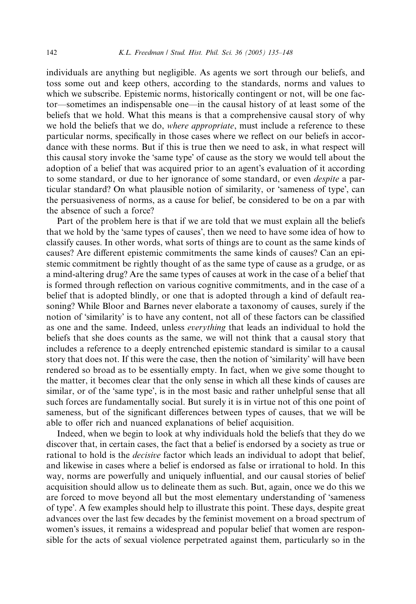individuals are anything but negligible. As agents we sort through our beliefs, and toss some out and keep others, according to the standards, norms and values to which we subscribe. Epistemic norms, historically contingent or not, will be one factor—sometimes an indispensable one—in the causal history of at least some of the beliefs that we hold. What this means is that a comprehensive causal story of why we hold the beliefs that we do, where appropriate, must include a reference to these particular norms, specifically in those cases where we reflect on our beliefs in accordance with these norms. But if this is true then we need to ask, in what respect will this causal story invoke the 'same type' of cause as the story we would tell about the adoption of a belief that was acquired prior to an agent's evaluation of it according to some standard, or due to her ignorance of some standard, or even *despite* a particular standard? On what plausible notion of similarity, or 'sameness of type', can the persuasiveness of norms, as a cause for belief, be considered to be on a par with the absence of such a force?

Part of the problem here is that if we are told that we must explain all the beliefs that we hold by the 'same types of causes', then we need to have some idea of how to classify causes. In other words, what sorts of things are to count as the same kinds of causes? Are different epistemic commitments the same kinds of causes? Can an epistemic commitment be rightly thought of as the same type of cause as a grudge, or as a mind-altering drug? Are the same types of causes at work in the case of a belief that is formed through reflection on various cognitive commitments, and in the case of a belief that is adopted blindly, or one that is adopted through a kind of default reasoning? While Bloor and Barnes never elaborate a taxonomy of causes, surely if the notion of 'similarity' is to have any content, not all of these factors can be classified as one and the same. Indeed, unless everything that leads an individual to hold the beliefs that she does counts as the same, we will not think that a causal story that includes a reference to a deeply entrenched epistemic standard is similar to a causal story that does not. If this were the case, then the notion of 'similarity' will have been rendered so broad as to be essentially empty. In fact, when we give some thought to the matter, it becomes clear that the only sense in which all these kinds of causes are similar, or of the 'same type', is in the most basic and rather unhelpful sense that all such forces are fundamentally social. But surely it is in virtue not of this one point of sameness, but of the significant differences between types of causes, that we will be able to offer rich and nuanced explanations of belief acquisition.

Indeed, when we begin to look at why individuals hold the beliefs that they do we discover that, in certain cases, the fact that a belief is endorsed by a society as true or rational to hold is the decisive factor which leads an individual to adopt that belief, and likewise in cases where a belief is endorsed as false or irrational to hold. In this way, norms are powerfully and uniquely influential, and our causal stories of belief acquisition should allow us to delineate them as such. But, again, once we do this we are forced to move beyond all but the most elementary understanding of 'sameness of type. A few examples should help to illustrate this point. These days, despite great advances over the last few decades by the feminist movement on a broad spectrum of women's issues, it remains a widespread and popular belief that women are responsible for the acts of sexual violence perpetrated against them, particularly so in the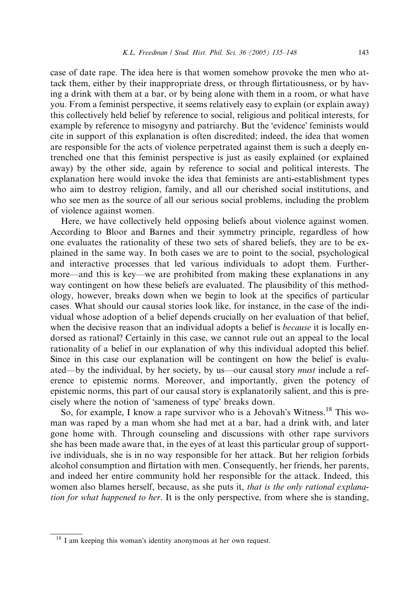case of date rape. The idea here is that women somehow provoke the men who attack them, either by their inappropriate dress, or through flirtatiousness, or by having a drink with them at a bar, or by being alone with them in a room, or what have you. From a feminist perspective, it seems relatively easy to explain (or explain away) this collectively held belief by reference to social, religious and political interests, for example by reference to misogyny and patriarchy. But the 'evidence' feminists would cite in support of this explanation is often discredited; indeed, the idea that women are responsible for the acts of violence perpetrated against them is such a deeply entrenched one that this feminist perspective is just as easily explained (or explained away) by the other side, again by reference to social and political interests. The explanation here would invoke the idea that feminists are anti-establishment types who aim to destroy religion, family, and all our cherished social institutions, and who see men as the source of all our serious social problems, including the problem of violence against women.

Here, we have collectively held opposing beliefs about violence against women. According to Bloor and Barnes and their symmetry principle, regardless of how one evaluates the rationality of these two sets of shared beliefs, they are to be explained in the same way. In both cases we are to point to the social, psychological and interactive processes that led various individuals to adopt them. Furthermore—and this is key—we are prohibited from making these explanations in any way contingent on how these beliefs are evaluated. The plausibility of this methodology, however, breaks down when we begin to look at the specifics of particular cases. What should our causal stories look like, for instance, in the case of the individual whose adoption of a belief depends crucially on her evaluation of that belief, when the decisive reason that an individual adopts a belief is *because* it is locally endorsed as rational? Certainly in this case, we cannot rule out an appeal to the local rationality of a belief in our explanation of why this individual adopted this belief. Since in this case our explanation will be contingent on how the belief is evaluated—by the individual, by her society, by us—our causal story must include a reference to epistemic norms. Moreover, and importantly, given the potency of epistemic norms, this part of our causal story is explanatorily salient, and this is precisely where the notion of 'sameness of type' breaks down.

So, for example, I know a rape survivor who is a Jehovah's Witness.<sup>18</sup> This woman was raped by a man whom she had met at a bar, had a drink with, and later gone home with. Through counseling and discussions with other rape survivors she has been made aware that, in the eyes of at least this particular group of supportive individuals, she is in no way responsible for her attack. But her religion forbids alcohol consumption and flirtation with men. Consequently, her friends, her parents, and indeed her entire community hold her responsible for the attack. Indeed, this women also blames herself, because, as she puts it, that is the only rational explanation for what happened to her. It is the only perspective, from where she is standing,

 $18$  I am keeping this woman's identity anonymous at her own request.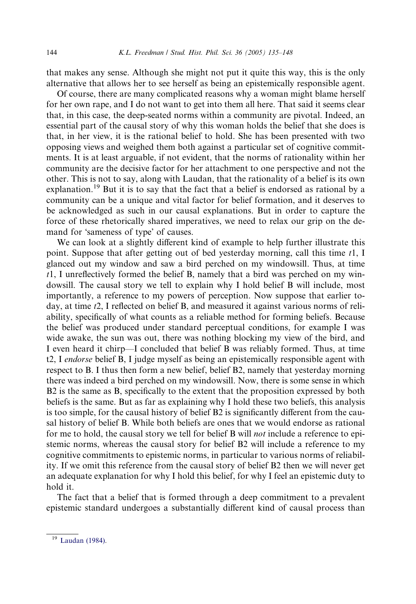that makes any sense. Although she might not put it quite this way, this is the only alternative that allows her to see herself as being an epistemically responsible agent.

Of course, there are many complicated reasons why a woman might blame herself for her own rape, and I do not want to get into them all here. That said it seems clear that, in this case, the deep-seated norms within a community are pivotal. Indeed, an essential part of the causal story of why this woman holds the belief that she does is that, in her view, it is the rational belief to hold. She has been presented with two opposing views and weighed them both against a particular set of cognitive commitments. It is at least arguable, if not evident, that the norms of rationality within her community are the decisive factor for her attachment to one perspective and not the other. This is not to say, along with Laudan, that the rationality of a belief is its own explanation.<sup>19</sup> But it is to say that the fact that a belief is endorsed as rational by a community can be a unique and vital factor for belief formation, and it deserves to be acknowledged as such in our causal explanations. But in order to capture the force of these rhetorically shared imperatives, we need to relax our grip on the demand for 'sameness of type' of causes.

We can look at a slightly different kind of example to help further illustrate this point. Suppose that after getting out of bed yesterday morning, call this time  $t_1$ , I glanced out my window and saw a bird perched on my windowsill. Thus, at time  $t$ 1, I unreflectively formed the belief B, namely that a bird was perched on my windowsill. The causal story we tell to explain why I hold belief B will include, most importantly, a reference to my powers of perception. Now suppose that earlier today, at time t2, I reflected on belief B, and measured it against various norms of reliability, specifically of what counts as a reliable method for forming beliefs. Because the belief was produced under standard perceptual conditions, for example I was wide awake, the sun was out, there was nothing blocking my view of the bird, and I even heard it chirp—I concluded that belief B was reliably formed. Thus, at time t2, I endorse belief B, I judge myself as being an epistemically responsible agent with respect to B. I thus then form a new belief, belief B2, namely that yesterday morning there was indeed a bird perched on my windowsill. Now, there is some sense in which B2 is the same as B, specifically to the extent that the proposition expressed by both beliefs is the same. But as far as explaining why I hold these two beliefs, this analysis is too simple, for the causal history of belief B2 is significantly different from the causal history of belief B. While both beliefs are ones that we would endorse as rational for me to hold, the causal story we tell for belief B will not include a reference to epistemic norms, whereas the causal story for belief B2 will include a reference to my cognitive commitments to epistemic norms, in particular to various norms of reliability. If we omit this reference from the causal story of belief B2 then we will never get an adequate explanation for why I hold this belief, for why I feel an epistemic duty to hold it.

The fact that a belief that is formed through a deep commitment to a prevalent epistemic standard undergoes a substantially different kind of causal process than

<sup>19</sup> [Laudan \(1984\)](#page-13-0).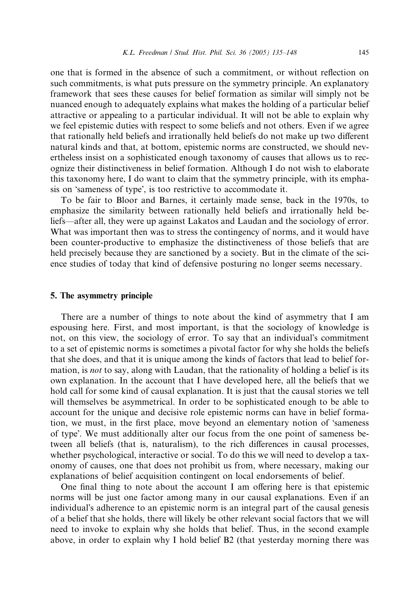one that is formed in the absence of such a commitment, or without reflection on such commitments, is what puts pressure on the symmetry principle. An explanatory framework that sees these causes for belief formation as similar will simply not be nuanced enough to adequately explains what makes the holding of a particular belief attractive or appealing to a particular individual. It will not be able to explain why we feel epistemic duties with respect to some beliefs and not others. Even if we agree that rationally held beliefs and irrationally held beliefs do not make up two different natural kinds and that, at bottom, epistemic norms are constructed, we should nevertheless insist on a sophisticated enough taxonomy of causes that allows us to recognize their distinctiveness in belief formation. Although I do not wish to elaborate this taxonomy here, I do want to claim that the symmetry principle, with its emphasis on 'sameness of type', is too restrictive to accommodate it.

To be fair to Bloor and Barnes, it certainly made sense, back in the 1970s, to emphasize the similarity between rationally held beliefs and irrationally held beliefs—after all, they were up against Lakatos and Laudan and the sociology of error. What was important then was to stress the contingency of norms, and it would have been counter-productive to emphasize the distinctiveness of those beliefs that are held precisely because they are sanctioned by a society. But in the climate of the science studies of today that kind of defensive posturing no longer seems necessary.

#### 5. The asymmetry principle

There are a number of things to note about the kind of asymmetry that I am espousing here. First, and most important, is that the sociology of knowledge is not, on this view, the sociology of error. To say that an individual's commitment to a set of epistemic norms is sometimes a pivotal factor for why she holds the beliefs that she does, and that it is unique among the kinds of factors that lead to belief formation, is *not* to say, along with Laudan, that the rationality of holding a belief is its own explanation. In the account that I have developed here, all the beliefs that we hold call for some kind of causal explanation. It is just that the causal stories we tell will themselves be asymmetrical. In order to be sophisticated enough to be able to account for the unique and decisive role epistemic norms can have in belief formation, we must, in the first place, move beyond an elementary notion of 'sameness of type. We must additionally alter our focus from the one point of sameness between all beliefs (that is, naturalism), to the rich differences in causal processes, whether psychological, interactive or social. To do this we will need to develop a taxonomy of causes, one that does not prohibit us from, where necessary, making our explanations of belief acquisition contingent on local endorsements of belief.

One final thing to note about the account I am offering here is that epistemic norms will be just one factor among many in our causal explanations. Even if an individual's adherence to an epistemic norm is an integral part of the causal genesis of a belief that she holds, there will likely be other relevant social factors that we will need to invoke to explain why she holds that belief. Thus, in the second example above, in order to explain why I hold belief B2 (that yesterday morning there was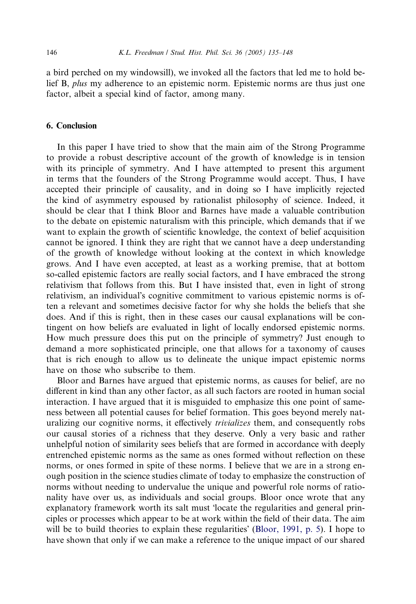a bird perched on my windowsill), we invoked all the factors that led me to hold belief B, *plus* my adherence to an epistemic norm. Epistemic norms are thus just one factor, albeit a special kind of factor, among many.

## 6. Conclusion

In this paper I have tried to show that the main aim of the Strong Programme to provide a robust descriptive account of the growth of knowledge is in tension with its principle of symmetry. And I have attempted to present this argument in terms that the founders of the Strong Programme would accept. Thus, I have accepted their principle of causality, and in doing so I have implicitly rejected the kind of asymmetry espoused by rationalist philosophy of science. Indeed, it should be clear that I think Bloor and Barnes have made a valuable contribution to the debate on epistemic naturalism with this principle, which demands that if we want to explain the growth of scientific knowledge, the context of belief acquisition cannot be ignored. I think they are right that we cannot have a deep understanding of the growth of knowledge without looking at the context in which knowledge grows. And I have even accepted, at least as a working premise, that at bottom so-called epistemic factors are really social factors, and I have embraced the strong relativism that follows from this. But I have insisted that, even in light of strong relativism, an individual's cognitive commitment to various epistemic norms is often a relevant and sometimes decisive factor for why she holds the beliefs that she does. And if this is right, then in these cases our causal explanations will be contingent on how beliefs are evaluated in light of locally endorsed epistemic norms. How much pressure does this put on the principle of symmetry? Just enough to demand a more sophisticated principle, one that allows for a taxonomy of causes that is rich enough to allow us to delineate the unique impact epistemic norms have on those who subscribe to them.

Bloor and Barnes have argued that epistemic norms, as causes for belief, are no different in kind than any other factor, as all such factors are rooted in human social interaction. I have argued that it is misguided to emphasize this one point of sameness between all potential causes for belief formation. This goes beyond merely naturalizing our cognitive norms, it effectively trivializes them, and consequently robs our causal stories of a richness that they deserve. Only a very basic and rather unhelpful notion of similarity sees beliefs that are formed in accordance with deeply entrenched epistemic norms as the same as ones formed without reflection on these norms, or ones formed in spite of these norms. I believe that we are in a strong enough position in the science studies climate of today to emphasize the construction of norms without needing to undervalue the unique and powerful role norms of rationality have over us, as individuals and social groups. Bloor once wrote that any explanatory framework worth its salt must 'locate the regularities and general principles or processes which appear to be at work within the field of their data. The aim will be to build theories to explain these regularities' [\(Bloor, 1991, p. 5\)](#page-12-0). I hope to have shown that only if we can make a reference to the unique impact of our shared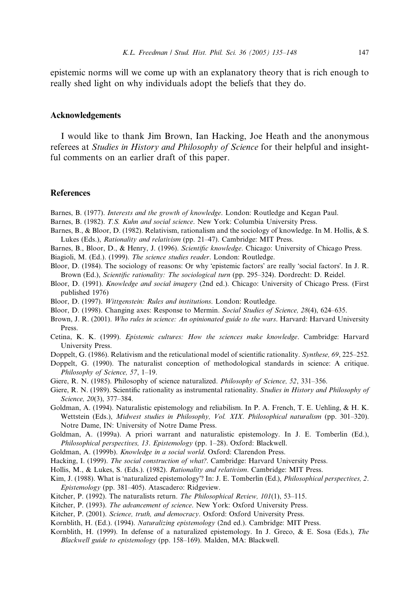<span id="page-12-0"></span>epistemic norms will we come up with an explanatory theory that is rich enough to really shed light on why individuals adopt the beliefs that they do.

## Acknowledgements

I would like to thank Jim Brown, Ian Hacking, Joe Heath and the anonymous referees at *Studies in History and Philosophy of Science* for their helpful and insightful comments on an earlier draft of this paper.

## References

- Barnes, B. (1977). Interests and the growth of knowledge. London: Routledge and Kegan Paul.
- Barnes, B. (1982). T.S. Kuhn and social science. New York: Columbia University Press.
- Barnes, B., & Bloor, D. (1982). Relativism, rationalism and the sociology of knowledge. In M. Hollis, & S. Lukes (Eds.), Rationality and relativism (pp. 21–47). Cambridge: MIT Press.
- Barnes, B., Bloor, D., & Henry, J. (1996). Scientific knowledge. Chicago: University of Chicago Press. Biagioli, M. (Ed.). (1999). The science studies reader. London: Routledge.
- 
- Bloor, D. (1984). The sociology of reasons: Or why 'epistemic factors' are really 'social factors'. In J. R. Brown (Ed.), Scientific rationality: The sociological turn (pp. 295–324). Dordrecht: D. Reidel.
- Bloor, D. (1991). Knowledge and social imagery (2nd ed.). Chicago: University of Chicago Press. (First published 1976)
- Bloor, D. (1997). Wittgenstein: Rules and institutions. London: Routledge.
- Bloor, D. (1998). Changing axes: Response to Mermin. Social Studies of Science, 28(4), 624–635.
- Brown, J. R. (2001). Who rules in science: An opinionated guide to the wars. Harvard: Harvard University Press.
- Cetina, K. K. (1999). Epistemic cultures: How the sciences make knowledge. Cambridge: Harvard University Press.
- Doppelt, G. (1986). Relativism and the reticulational model of scientific rationality. Synthese, 69, 225–252.
- Doppelt, G. (1990). The naturalist conception of methodological standards in science: A critique. Philosophy of Science, 57, 1–19.
- Giere, R. N. (1985). Philosophy of science naturalized. Philosophy of Science, 52, 331–356.
- Giere, R. N. (1989). Scientific rationality as instrumental rationality. Studies in History and Philosophy of Science, 20(3), 377–384.
- Goldman, A. (1994). Naturalistic epistemology and reliabilism. In P. A. French, T. E. Uehling, & H. K. Wettstein (Eds.), Midwest studies in Philosophy, Vol. XIX. Philosophical naturalism (pp. 301-320). Notre Dame, IN: University of Notre Dame Press.
- Goldman, A. (1999a). A priori warrant and naturalistic epistemology. In J. E. Tomberlin (Ed.), Philosophical perspectives, 13. Epistemology (pp. 1–28). Oxford: Blackwell.
- Goldman, A. (1999b). Knowledge in a social world. Oxford: Clarendon Press.
- Hacking, I. (1999). The social construction of what?. Cambridge: Harvard University Press.
- Hollis, M., & Lukes, S. (Eds.). (1982). Rationality and relativism. Cambridge: MIT Press.
- Kim, J. (1988). What is 'naturalized epistemology'? In: J. E. Tomberlin (Ed.), *Philosophical perspectives*, 2. Epistemology (pp. 381–405). Atascadero: Ridgeview.
- Kitcher, P. (1992). The naturalists return. The Philosophical Review, 101(1), 53–115.
- Kitcher, P. (1993). The advancement of science. New York: Oxford University Press.
- Kitcher, P. (2001). Science, truth, and democracy. Oxford: Oxford University Press.
- Kornblith, H. (Ed.). (1994). Naturalizing epistemology (2nd ed.). Cambridge: MIT Press.
- Kornblith, H. (1999). In defense of a naturalized epistemology. In J. Greco, & E. Sosa (Eds.), The Blackwell guide to epistemology (pp. 158–169). Malden, MA: Blackwell.